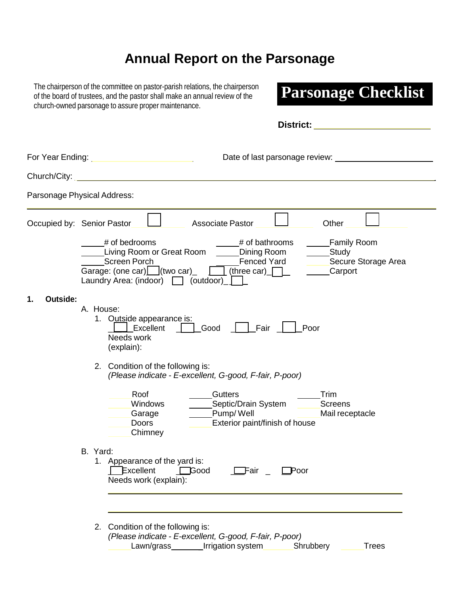# **Annual Report on the Parsonage**

The chairperson of the committee on pastor-parish relations, the chairperson of the board of trustees, and the pastor shall make an annual review of the church-owned parsonage to assure proper maintenance.

# **Parsonage Checklist**

|                | <b>District:</b>                                                                                                                                                                                                                                                                            |
|----------------|---------------------------------------------------------------------------------------------------------------------------------------------------------------------------------------------------------------------------------------------------------------------------------------------|
|                | For Year Ending: New York Changes and Security Assembly<br>Date of last parsonage review:                                                                                                                                                                                                   |
|                | Church/City: <u>Andreas Andrew Church and American Church and American Church and American Church and American Ch</u>                                                                                                                                                                       |
|                | Parsonage Physical Address:                                                                                                                                                                                                                                                                 |
|                | Other<br>Occupied by: Senior Pastor<br><b>Associate Pastor</b>                                                                                                                                                                                                                              |
|                | # of bathrooms<br># of bedrooms<br><b>Family Room</b><br>Living Room or Great Room<br>Dining Room<br>Study<br><b>Screen Porch</b><br><b>Fenced Yard</b><br>Secure Storage Area<br>Garage: (one car) $\Box$ (two car)<br>three car)<br>Carport<br>Laundry Area: (indoor) $\Box$<br>(outdoor) |
| Outside:<br>1. | A. House:<br>1. Outside appearance is:<br>Fair<br>Excellent<br>Good<br>Poor<br>Needs work<br>(explain):<br>2. Condition of the following is:                                                                                                                                                |
|                | (Please indicate - E-excellent, G-good, F-fair, P-poor)<br>Roof<br><b>Gutters</b><br>Trim<br>Septic/Drain System<br>Windows<br><b>Screens</b><br>Pump/Well<br>Mail receptacle<br>Garage<br><b>Exterior paint/finish of house</b><br><b>Doors</b><br>Chimney                                 |
|                | B. Yard:<br>1. Appearance of the yard is:<br>Excellent<br>$\Box$ Good<br>—Fair<br>Poor<br>Needs work (explain):                                                                                                                                                                             |
|                | 2. Condition of the following is:<br>(Please indicate - E-excellent, G-good, F-fair, P-poor)<br>Lawn/grass___________Irrigation system<br>Shrubbery<br><b>Trees</b>                                                                                                                         |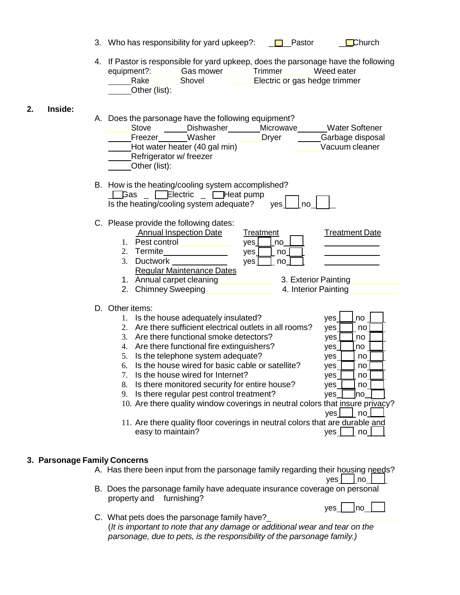- **D** Pastor **D**Church 3. Who has responsibility for yard upkeep?:
- 4. If Pastor is responsible for yard upkeep, does the parsonage have the following equipment?: Gas mower Trimmer Weed eater equipment?: Gas mower Trimmer Weed eater Rake Shovel Other (list): Electric or gas hedge trimmer

#### **2. Inside:**

| A. Does the parsonage have the following equipment?<br>Microwave<br><b>Water Softener</b><br>Stove<br>Dishwasher<br>Washer<br><b>Dryer</b><br>Garbage disposal<br>Freezer<br>Hot water heater (40 gal min)<br>Vacuum cleaner<br>Refrigerator w/ freezer<br>Other (list):                                                                                                                                                                                                                                                                                                                                                                                                                                                                                                                                                                                                                                                                                                                                                                                                                                                                                                                                     |
|--------------------------------------------------------------------------------------------------------------------------------------------------------------------------------------------------------------------------------------------------------------------------------------------------------------------------------------------------------------------------------------------------------------------------------------------------------------------------------------------------------------------------------------------------------------------------------------------------------------------------------------------------------------------------------------------------------------------------------------------------------------------------------------------------------------------------------------------------------------------------------------------------------------------------------------------------------------------------------------------------------------------------------------------------------------------------------------------------------------------------------------------------------------------------------------------------------------|
| B. How is the heating/cooling system accomplished?<br>Electric<br>$\Box$ Heat pump<br><b>G</b> as<br>Is the heating/cooling system adequate?<br>no<br>yes                                                                                                                                                                                                                                                                                                                                                                                                                                                                                                                                                                                                                                                                                                                                                                                                                                                                                                                                                                                                                                                    |
| C. Please provide the following dates:<br><b>Annual Inspection Date</b><br>Treatment<br><b>Treatment Date</b><br>Pest control<br>$1_{-}$<br>yes<br>no<br>2. Termite<br>yes<br>no<br>3. Ductwork<br>yes<br>no<br><b>Regular Maintenance Dates</b><br>1. Annual carpet cleaning<br>3. Exterior Painting<br>2. Chimney Sweeping<br>4. Interior Painting<br>D. Other items:<br>Is the house adequately insulated?<br>yes<br>$\mathbf{1}$ .<br>no<br>Are there sufficient electrical outlets in all rooms?<br>2.<br>yes<br>no<br>Are there functional smoke detectors?<br>3.<br>yes<br>no<br>Are there functional fire extinguishers?<br>4.<br>yes<br>no<br>Is the telephone system adequate?<br>5.<br>yes<br>no<br>Is the house wired for basic cable or satellite?<br>6.<br>yes<br>no<br>Is the house wired for Internet?<br>7.<br>yes<br>no<br>8.<br>Is there monitored security for entire house?<br>yes<br>no<br>Is there regular pest control treatment?<br>9.<br>yes<br>lno<br>10. Are there quality window coverings in neutral colors that insure privacy?<br> no <br>yes <sub>l</sub><br>11. Are there quality floor coverings in neutral colors that are durable and<br>easy to maintain?<br>no<br>yes |
|                                                                                                                                                                                                                                                                                                                                                                                                                                                                                                                                                                                                                                                                                                                                                                                                                                                                                                                                                                                                                                                                                                                                                                                                              |

## **3. Parsonage Family Concerns**

- A. Has there been input from the parsonage family regarding their housing needs? yes | no
- B. Does the parsonage family have adequate insurance coverage on personal property and furnishing?  $yes \mid$  no
- C. What pets does the parsonage family have?\_ (*It is important to note that any damage or additional wear and tear on the parsonage, due to pets, is the responsibility of the parsonage family.)*